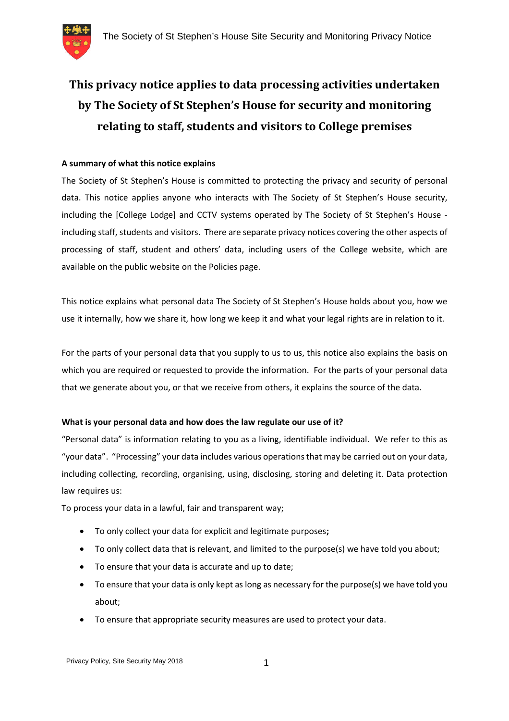

# **This privacy notice applies to data processing activities undertaken by The Society of St Stephen's House for security and monitoring relating to staff, students and visitors to College premises**

# **A summary of what this notice explains**

The Society of St Stephen's House is committed to protecting the privacy and security of personal data. This notice applies anyone who interacts with The Society of St Stephen's House security, including the [College Lodge] and CCTV systems operated by The Society of St Stephen's House including staff, students and visitors. There are separate privacy notices covering the other aspects of processing of staff, student and others' data, including users of the College website, which are available on the public website on the Policies page.

This notice explains what personal data The Society of St Stephen's House holds about you, how we use it internally, how we share it, how long we keep it and what your legal rights are in relation to it.

For the parts of your personal data that you supply to us to us, this notice also explains the basis on which you are required or requested to provide the information. For the parts of your personal data that we generate about you, or that we receive from others, it explains the source of the data.

# **What is your personal data and how does the law regulate our use of it?**

"Personal data" is information relating to you as a living, identifiable individual. We refer to this as "your data". "Processing" your data includes various operations that may be carried out on your data, including collecting, recording, organising, using, disclosing, storing and deleting it. Data protection law requires us:

To process your data in a lawful, fair and transparent way;

- To only collect your data for explicit and legitimate purposes**;**
- To only collect data that is relevant, and limited to the purpose(s) we have told you about;
- To ensure that your data is accurate and up to date;
- To ensure that your data is only kept as long as necessary for the purpose(s) we have told you about;
- To ensure that appropriate security measures are used to protect your data.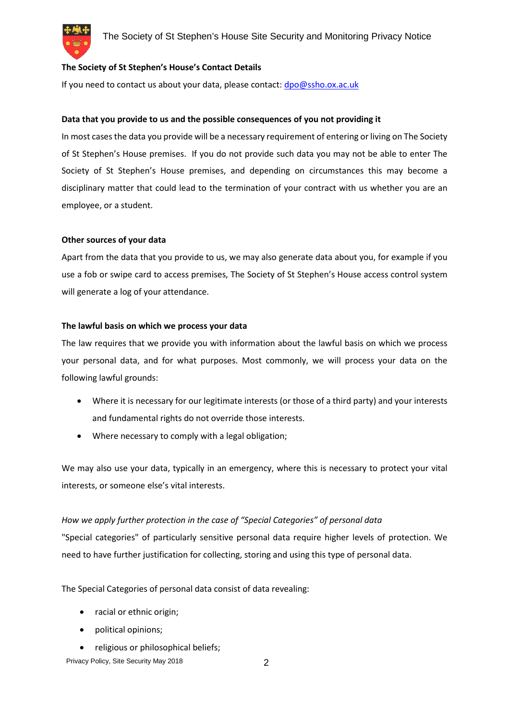# **The Society of St Stephen's House's Contact Details**

If you need to contact us about your data, please contact: dpo@ssho.ox.ac.uk

# **Data that you provide to us and the possible consequences of you not providing it**

In most cases the data you provide will be a necessary requirement of entering or living on The Society of St Stephen's House premises. If you do not provide such data you may not be able to enter The Society of St Stephen's House premises, and depending on circumstances this may become a disciplinary matter that could lead to the termination of your contract with us whether you are an employee, or a student.

## **Other sources of your data**

Apart from the data that you provide to us, we may also generate data about you, for example if you use a fob or swipe card to access premises, The Society of St Stephen's House access control system will generate a log of your attendance.

# **The lawful basis on which we process your data**

The law requires that we provide you with information about the lawful basis on which we process your personal data, and for what purposes. Most commonly, we will process your data on the following lawful grounds:

- Where it is necessary for our legitimate interests (or those of a third party) and your interests and fundamental rights do not override those interests.
- Where necessary to comply with a legal obligation;

We may also use your data, typically in an emergency, where this is necessary to protect your vital interests, or someone else's vital interests.

# *How we apply further protection in the case of "Special Categories" of personal data*

"Special categories" of particularly sensitive personal data require higher levels of protection. We need to have further justification for collecting, storing and using this type of personal data.

The Special Categories of personal data consist of data revealing:

- racial or ethnic origin;
- political opinions;
- religious or philosophical beliefs;

Privacy Policy, Site Security May 2018 2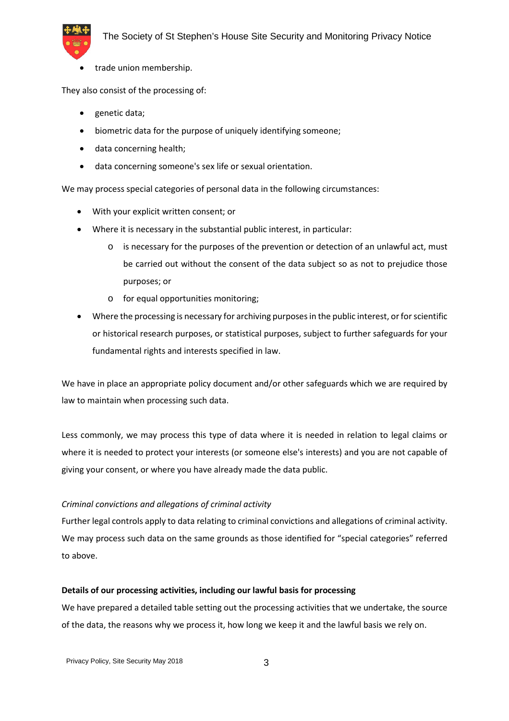

trade union membership.

They also consist of the processing of:

- genetic data;
- biometric data for the purpose of uniquely identifying someone;
- data concerning health;
- data concerning someone's sex life or sexual orientation.

We may process special categories of personal data in the following circumstances:

- With your explicit written consent; or
- Where it is necessary in the substantial public interest, in particular:
	- is necessary for the purposes of the prevention or detection of an unlawful act, must be carried out without the consent of the data subject so as not to prejudice those purposes; or
	- o for equal opportunities monitoring;
- Where the processing is necessary for archiving purposes in the public interest, or for scientific or historical research purposes, or statistical purposes, subject to further safeguards for your fundamental rights and interests specified in law.

We have in place an appropriate policy document and/or other safeguards which we are required by law to maintain when processing such data.

Less commonly, we may process this type of data where it is needed in relation to legal claims or where it is needed to protect your interests (or someone else's interests) and you are not capable of giving your consent, or where you have already made the data public.

# *Criminal convictions and allegations of criminal activity*

Further legal controls apply to data relating to criminal convictions and allegations of criminal activity. We may process such data on the same grounds as those identified for "special categories" referred to above.

# **Details of our processing activities, including our lawful basis for processing**

We have prepared a detailed table setting out the processing activities that we undertake, the source of the data, the reasons why we process it, how long we keep it and the lawful basis we rely on.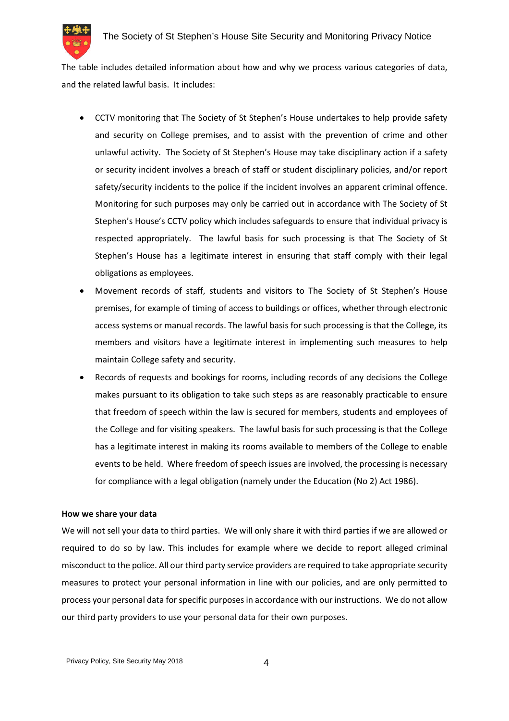

The table includes detailed information about how and why we process various categories of data, and the related lawful basis. It includes:

- CCTV monitoring that The Society of St Stephen's House undertakes to help provide safety and security on College premises, and to assist with the prevention of crime and other unlawful activity. The Society of St Stephen's House may take disciplinary action if a safety or security incident involves a breach of staff or student disciplinary policies, and/or report safety/security incidents to the police if the incident involves an apparent criminal offence. Monitoring for such purposes may only be carried out in accordance with The Society of St Stephen's House's CCTV policy which includes safeguards to ensure that individual privacy is respected appropriately. The lawful basis for such processing is that The Society of St Stephen's House has a legitimate interest in ensuring that staff comply with their legal obligations as employees.
- Movement records of staff, students and visitors to The Society of St Stephen's House premises, for example of timing of access to buildings or offices, whether through electronic access systems or manual records. The lawful basis for such processing is that the College, its members and visitors have a legitimate interest in implementing such measures to help maintain College safety and security.
- Records of requests and bookings for rooms, including records of any decisions the College makes pursuant to its obligation to take such steps as are reasonably practicable to ensure that freedom of speech within the law is secured for members, students and employees of the College and for visiting speakers. The lawful basis for such processing is that the College has a legitimate interest in making its rooms available to members of the College to enable events to be held. Where freedom of speech issues are involved, the processing is necessary for compliance with a legal obligation (namely under the Education (No 2) Act 1986).

## **How we share your data**

We will not sell your data to third parties. We will only share it with third parties if we are allowed or required to do so by law. This includes for example where we decide to report alleged criminal misconduct to the police. All our third party service providers are required to take appropriate security measures to protect your personal information in line with our policies, and are only permitted to process your personal data for specific purposes in accordance with our instructions. We do not allow our third party providers to use your personal data for their own purposes.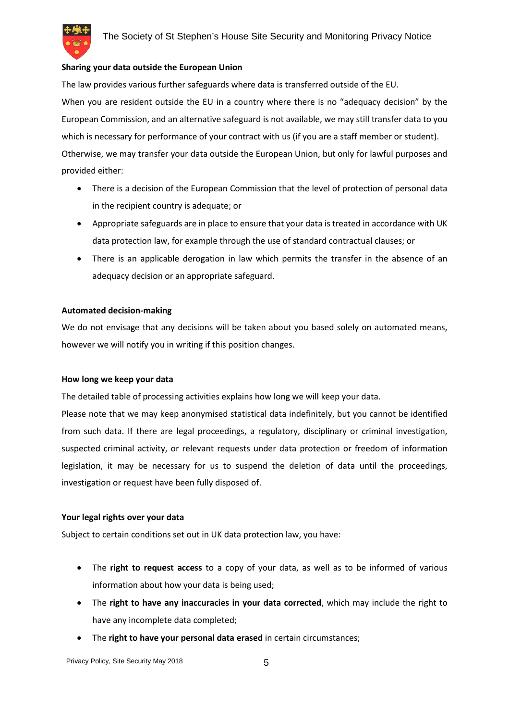

#### **Sharing your data outside the European Union**

The law provides various further safeguards where data is transferred outside of the EU. When you are resident outside the EU in a country where there is no "adequacy decision" by the European Commission, and an alternative safeguard is not available, we may still transfer data to you which is necessary for performance of your contract with us (if you are a staff member or student). Otherwise, we may transfer your data outside the European Union, but only for lawful purposes and provided either:

- There is a decision of the European Commission that the level of protection of personal data in the recipient country is adequate; or
- Appropriate safeguards are in place to ensure that your data is treated in accordance with UK data protection law, for example through the use of standard contractual clauses; or
- There is an applicable derogation in law which permits the transfer in the absence of an adequacy decision or an appropriate safeguard.

#### **Automated decision-making**

We do not envisage that any decisions will be taken about you based solely on automated means, however we will notify you in writing if this position changes.

#### **How long we keep your data**

The detailed table of processing activities explains how long we will keep your data.

Please note that we may keep anonymised statistical data indefinitely, but you cannot be identified from such data. If there are legal proceedings, a regulatory, disciplinary or criminal investigation, suspected criminal activity, or relevant requests under data protection or freedom of information legislation, it may be necessary for us to suspend the deletion of data until the proceedings, investigation or request have been fully disposed of.

## **Your legal rights over your data**

Subject to certain conditions set out in UK data protection law, you have:

- The **right to request access** to a copy of your data, as well as to be informed of various information about how your data is being used;
- The **right to have any inaccuracies in your data corrected**, which may include the right to have any incomplete data completed;
- The **right to have your personal data erased** in certain circumstances;